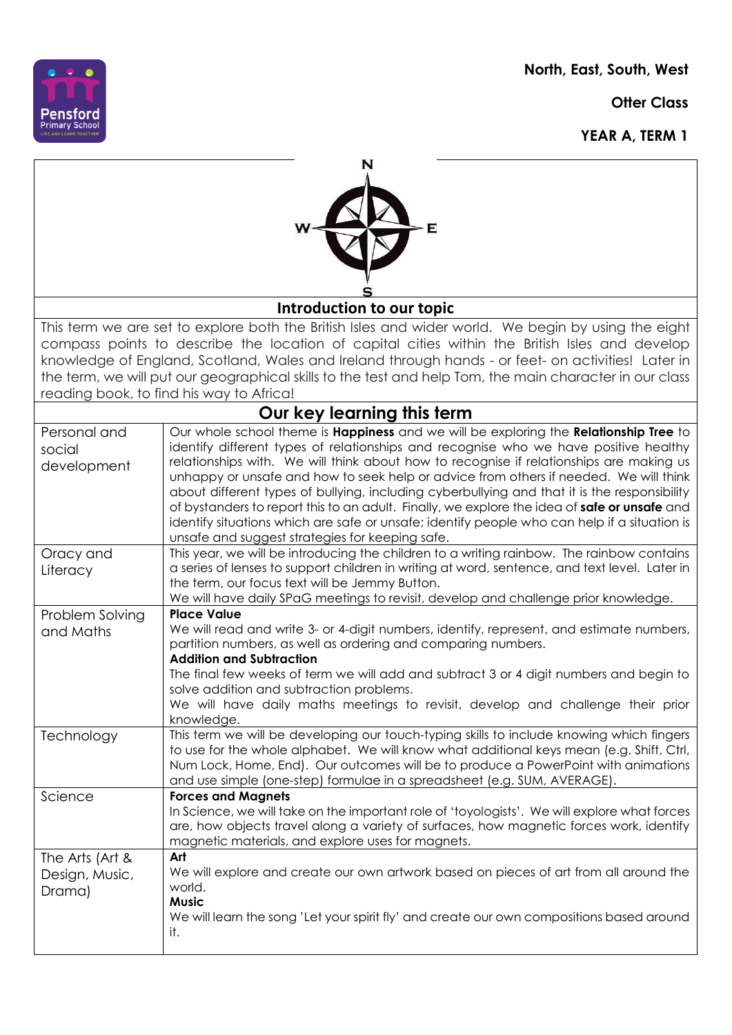**North, East, South, West**

**Otter Class** 

**YEAR A, TERM 1**



| N<br>Е                                                                                                                                                                                                                                                                                                                                                                                                                                                             |                                                                                                                                                                                                                                                                                                                                                                                                                                                                                                                                                                                                                                                                                                                      |  |
|--------------------------------------------------------------------------------------------------------------------------------------------------------------------------------------------------------------------------------------------------------------------------------------------------------------------------------------------------------------------------------------------------------------------------------------------------------------------|----------------------------------------------------------------------------------------------------------------------------------------------------------------------------------------------------------------------------------------------------------------------------------------------------------------------------------------------------------------------------------------------------------------------------------------------------------------------------------------------------------------------------------------------------------------------------------------------------------------------------------------------------------------------------------------------------------------------|--|
| Introduction to our topic                                                                                                                                                                                                                                                                                                                                                                                                                                          |                                                                                                                                                                                                                                                                                                                                                                                                                                                                                                                                                                                                                                                                                                                      |  |
| This term we are set to explore both the British Isles and wider world. We begin by using the eight<br>compass points to describe the location of capital cities within the British Isles and develop<br>knowledge of England, Scotland, Wales and Ireland through hands - or feet- on activities! Later in<br>the term, we will put our geographical skills to the test and help Tom, the main character in our class<br>reading book, to find his way to Africa! |                                                                                                                                                                                                                                                                                                                                                                                                                                                                                                                                                                                                                                                                                                                      |  |
| Our key learning this term                                                                                                                                                                                                                                                                                                                                                                                                                                         |                                                                                                                                                                                                                                                                                                                                                                                                                                                                                                                                                                                                                                                                                                                      |  |
| Personal and<br>social<br>development                                                                                                                                                                                                                                                                                                                                                                                                                              | Our whole school theme is Happiness and we will be exploring the Relationship Tree to<br>identify different types of relationships and recognise who we have positive healthy<br>relationships with. We will think about how to recognise if relationships are making us<br>unhappy or unsafe and how to seek help or advice from others if needed. We will think<br>about different types of bullying, including cyberbullying and that it is the responsibility<br>of bystanders to report this to an adult. Finally, we explore the idea of safe or unsafe and<br>identify situations which are safe or unsafe; identify people who can help if a situation is<br>unsafe and suggest strategies for keeping safe. |  |
| Oracy and<br>Literacy                                                                                                                                                                                                                                                                                                                                                                                                                                              | This year, we will be introducing the children to a writing rainbow. The rainbow contains<br>a series of lenses to support children in writing at word, sentence, and text level. Later in<br>the term, our focus text will be Jemmy Button.<br>We will have daily SPaG meetings to revisit, develop and challenge prior knowledge.                                                                                                                                                                                                                                                                                                                                                                                  |  |
| Problem Solving<br>and Maths                                                                                                                                                                                                                                                                                                                                                                                                                                       | <b>Place Value</b><br>We will read and write 3- or 4-digit numbers, identify, represent, and estimate numbers,<br>partition numbers, as well as ordering and comparing numbers.<br><b>Addition and Subtraction</b><br>The final few weeks of term we will add and subtract 3 or 4 digit numbers and begin to<br>solve addition and subtraction problems.<br>We will have daily maths meetings to revisit, develop and challenge their prior<br>knowledge.                                                                                                                                                                                                                                                            |  |
| Technology                                                                                                                                                                                                                                                                                                                                                                                                                                                         | This term we will be developing our touch-typing skills to include knowing which fingers<br>to use for the whole alphabet. We will know what additional keys mean (e.g. Shift, Ctrl,<br>Num Lock, Home, End). Our outcomes will be to produce a PowerPoint with animations<br>and use simple (one-step) formulae in a spreadsheet (e.g. SUM, AVERAGE).                                                                                                                                                                                                                                                                                                                                                               |  |
| Science                                                                                                                                                                                                                                                                                                                                                                                                                                                            | <b>Forces and Magnets</b><br>In Science, we will take on the important role of 'toyologists'. We will explore what forces<br>are, how objects travel along a variety of surfaces, how magnetic forces work, identify<br>magnetic materials, and explore uses for magnets.                                                                                                                                                                                                                                                                                                                                                                                                                                            |  |
| The Arts (Art &<br>Design, Music,<br>Drama)                                                                                                                                                                                                                                                                                                                                                                                                                        | Art<br>We will explore and create our own artwork based on pieces of art from all around the<br>world.<br><b>Music</b><br>We will learn the song 'Let your spirit fly' and create our own compositions based around<br>it.                                                                                                                                                                                                                                                                                                                                                                                                                                                                                           |  |